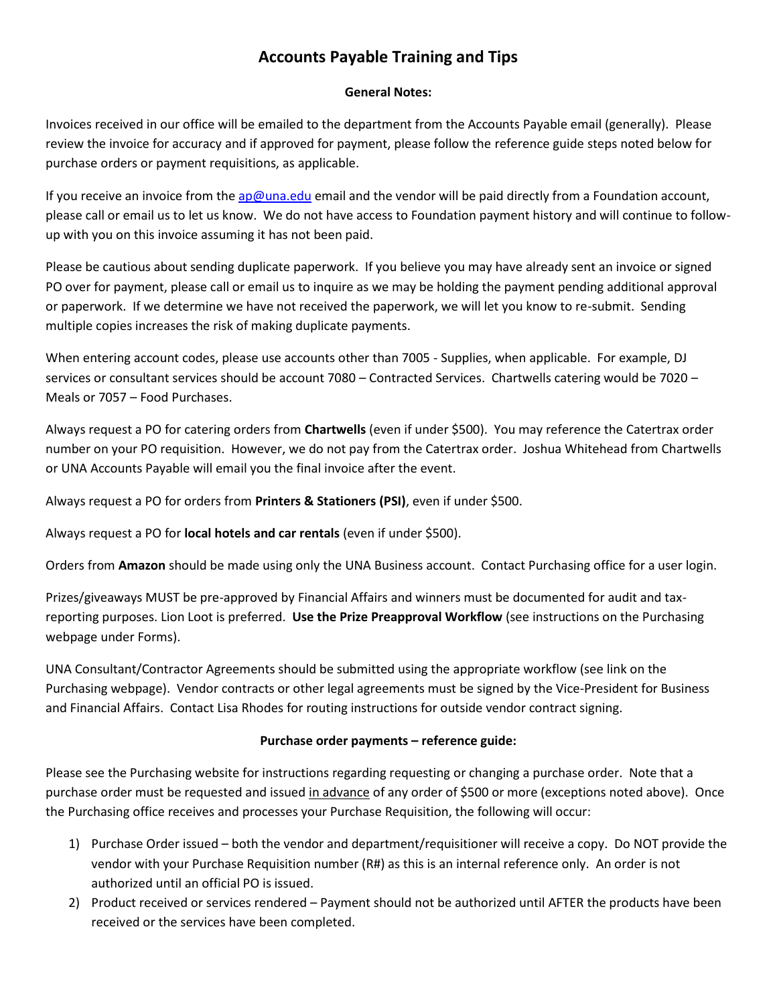# **Accounts Payable Training and Tips**

### **General Notes:**

Invoices received in our office will be emailed to the department from the Accounts Payable email (generally). Please review the invoice for accuracy and if approved for payment, please follow the reference guide steps noted below for purchase orders or payment requisitions, as applicable.

If you receive an invoice from the [ap@una.edu](mailto:ap@una.edu) email and the vendor will be paid directly from a Foundation account, please call or email us to let us know. We do not have access to Foundation payment history and will continue to followup with you on this invoice assuming it has not been paid.

Please be cautious about sending duplicate paperwork. If you believe you may have already sent an invoice or signed PO over for payment, please call or email us to inquire as we may be holding the payment pending additional approval or paperwork. If we determine we have not received the paperwork, we will let you know to re-submit. Sending multiple copies increases the risk of making duplicate payments.

When entering account codes, please use accounts other than 7005 - Supplies, when applicable. For example, DJ services or consultant services should be account 7080 – Contracted Services. Chartwells catering would be 7020 – Meals or 7057 – Food Purchases.

Always request a PO for catering orders from **Chartwells** (even if under \$500). You may reference the Catertrax order number on your PO requisition. However, we do not pay from the Catertrax order. Joshua Whitehead from Chartwells or UNA Accounts Payable will email you the final invoice after the event.

Always request a PO for orders from **Printers & Stationers (PSI)**, even if under \$500.

Always request a PO for **local hotels and car rentals** (even if under \$500).

Orders from **Amazon** should be made using only the UNA Business account. Contact Purchasing office for a user login.

Prizes/giveaways MUST be pre-approved by Financial Affairs and winners must be documented for audit and taxreporting purposes. Lion Loot is preferred. **Use the Prize Preapproval Workflow** (see instructions on the Purchasing webpage under Forms).

UNA Consultant/Contractor Agreements should be submitted using the appropriate workflow (see link on the Purchasing webpage). Vendor contracts or other legal agreements must be signed by the Vice-President for Business and Financial Affairs. Contact Lisa Rhodes for routing instructions for outside vendor contract signing.

## **Purchase order payments – reference guide:**

Please see the Purchasing website for instructions regarding requesting or changing a purchase order. Note that a purchase order must be requested and issued in advance of any order of \$500 or more (exceptions noted above). Once the Purchasing office receives and processes your Purchase Requisition, the following will occur:

- 1) Purchase Order issued both the vendor and department/requisitioner will receive a copy. Do NOT provide the vendor with your Purchase Requisition number (R#) as this is an internal reference only. An order is not authorized until an official PO is issued.
- 2) Product received or services rendered Payment should not be authorized until AFTER the products have been received or the services have been completed.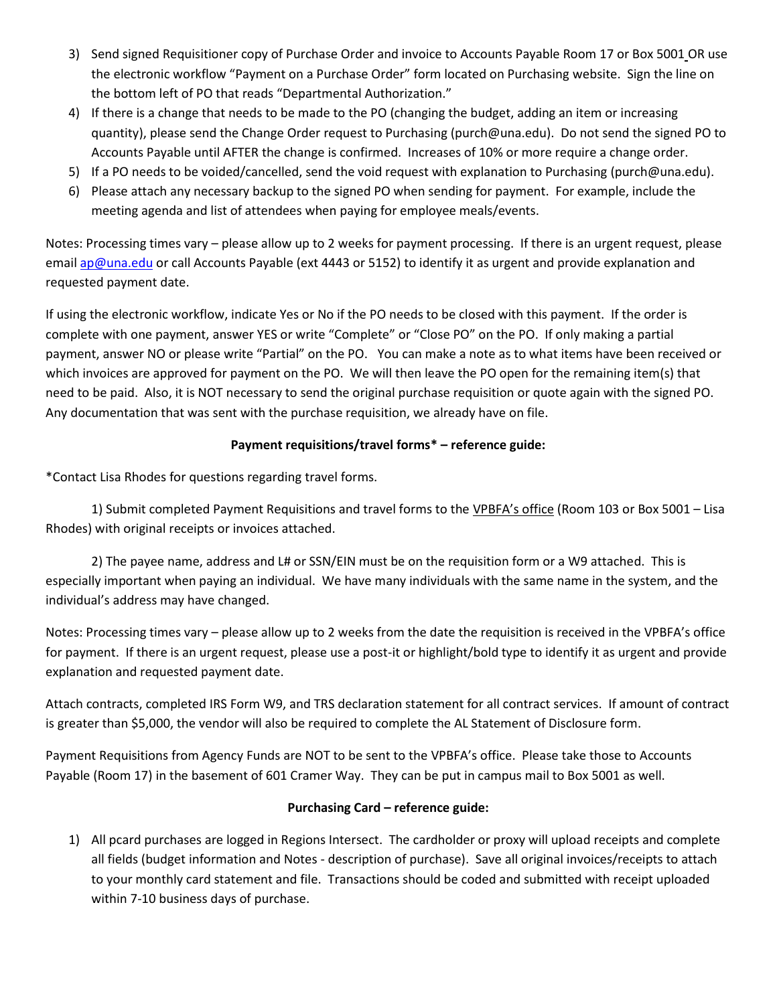- 3) Send signed Requisitioner copy of Purchase Order and invoice to Accounts Payable Room 17 or Box 5001 OR use the electronic workflow "Payment on a Purchase Order" form located on Purchasing website. Sign the line on the bottom left of PO that reads "Departmental Authorization."
- 4) If there is a change that needs to be made to the PO (changing the budget, adding an item or increasing quantity), please send the Change Order request to Purchasing (purch@una.edu). Do not send the signed PO to Accounts Payable until AFTER the change is confirmed. Increases of 10% or more require a change order.
- 5) If a PO needs to be voided/cancelled, send the void request with explanation to Purchasing (purch@una.edu).
- 6) Please attach any necessary backup to the signed PO when sending for payment. For example, include the meeting agenda and list of attendees when paying for employee meals/events.

Notes: Processing times vary – please allow up to 2 weeks for payment processing. If there is an urgent request, please email [ap@una.edu](mailto:ap@una.edu) or call Accounts Payable (ext 4443 or 5152) to identify it as urgent and provide explanation and requested payment date.

If using the electronic workflow, indicate Yes or No if the PO needs to be closed with this payment. If the order is complete with one payment, answer YES or write "Complete" or "Close PO" on the PO. If only making a partial payment, answer NO or please write "Partial" on the PO. You can make a note as to what items have been received or which invoices are approved for payment on the PO. We will then leave the PO open for the remaining item(s) that need to be paid. Also, it is NOT necessary to send the original purchase requisition or quote again with the signed PO. Any documentation that was sent with the purchase requisition, we already have on file.

## **Payment requisitions/travel forms\* – reference guide:**

\*Contact Lisa Rhodes for questions regarding travel forms.

1) Submit completed Payment Requisitions and travel forms to the VPBFA's office (Room 103 or Box 5001 – Lisa Rhodes) with original receipts or invoices attached.

2) The payee name, address and L# or SSN/EIN must be on the requisition form or a W9 attached. This is especially important when paying an individual. We have many individuals with the same name in the system, and the individual's address may have changed.

Notes: Processing times vary – please allow up to 2 weeks from the date the requisition is received in the VPBFA's office for payment. If there is an urgent request, please use a post-it or highlight/bold type to identify it as urgent and provide explanation and requested payment date.

Attach contracts, completed IRS Form W9, and TRS declaration statement for all contract services. If amount of contract is greater than \$5,000, the vendor will also be required to complete the AL Statement of Disclosure form.

Payment Requisitions from Agency Funds are NOT to be sent to the VPBFA's office. Please take those to Accounts Payable (Room 17) in the basement of 601 Cramer Way. They can be put in campus mail to Box 5001 as well.

## **Purchasing Card – reference guide:**

1) All pcard purchases are logged in Regions Intersect. The cardholder or proxy will upload receipts and complete all fields (budget information and Notes - description of purchase). Save all original invoices/receipts to attach to your monthly card statement and file. Transactions should be coded and submitted with receipt uploaded within 7-10 business days of purchase.